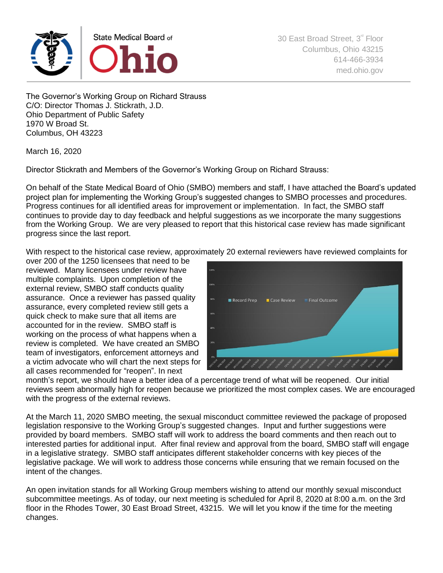

The Governor's Working Group on Richard Strauss C/O: Director Thomas J. Stickrath, J.D. Ohio Department of Public Safety 1970 W Broad St. Columbus, OH 43223

March 16, 2020

Director Stickrath and Members of the Governor's Working Group on Richard Strauss:

On behalf of the State Medical Board of Ohio (SMBO) members and staff, I have attached the Board's updated project plan for implementing the Working Group's suggested changes to SMBO processes and procedures. Progress continues for all identified areas for improvement or implementation. In fact, the SMBO staff continues to provide day to day feedback and helpful suggestions as we incorporate the many suggestions from the Working Group. We are very pleased to report that this historical case review has made significant progress since the last report.

With respect to the historical case review, approximately 20 external reviewers have reviewed complaints for

over 200 of the 1250 licensees that need to be reviewed. Many licensees under review have multiple complaints. Upon completion of the external review, SMBO staff conducts quality assurance. Once a reviewer has passed quality assurance, every completed review still gets a quick check to make sure that all items are accounted for in the review. SMBO staff is working on the process of what happens when a review is completed. We have created an SMBO team of investigators, enforcement attorneys and a victim advocate who will chart the next steps for all cases recommended for "reopen". In next



month's report, we should have a better idea of a percentage trend of what will be reopened. Our initial reviews seem abnormally high for reopen because we prioritized the most complex cases. We are encouraged with the progress of the external reviews.

At the March 11, 2020 SMBO meeting, the sexual misconduct committee reviewed the package of proposed legislation responsive to the Working Group's suggested changes. Input and further suggestions were provided by board members. SMBO staff will work to address the board comments and then reach out to interested parties for additional input. After final review and approval from the board, SMBO staff will engage in a legislative strategy. SMBO staff anticipates different stakeholder concerns with key pieces of the legislative package. We will work to address those concerns while ensuring that we remain focused on the intent of the changes.

An open invitation stands for all Working Group members wishing to attend our monthly sexual misconduct subcommittee meetings. As of today, our next meeting is scheduled for April 8, 2020 at 8:00 a.m. on the 3rd floor in the Rhodes Tower, 30 East Broad Street, 43215. We will let you know if the time for the meeting changes.